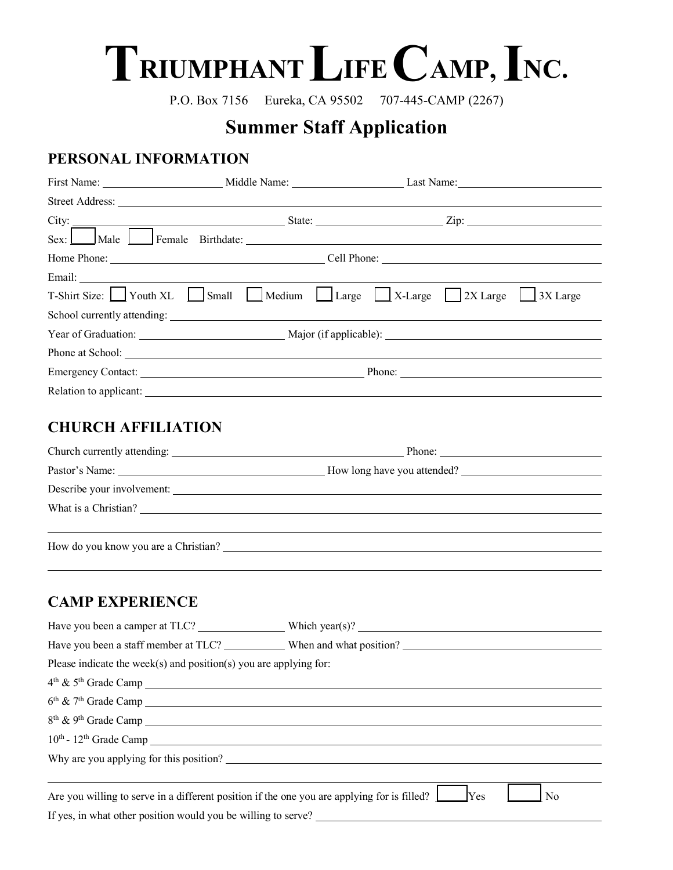# TRIUMPHANT LIFE CAMP, INC.

P.O. Box 7156 Eureka, CA 95502 707-445-CAMP (2267)

# **Summer Staff Application**

## **PERSONAL INFORMATION**

|  | $\text{City:}$ $\boxed{\qquad \qquad \qquad }$ State: $\qquad \qquad \text{Lip:}$ |  |  |
|--|-----------------------------------------------------------------------------------|--|--|
|  |                                                                                   |  |  |
|  |                                                                                   |  |  |
|  |                                                                                   |  |  |
|  | T-Shirt Size: Youth XL Small Medium Large X-Large 2X Large 3X Large               |  |  |
|  |                                                                                   |  |  |
|  |                                                                                   |  |  |
|  |                                                                                   |  |  |
|  |                                                                                   |  |  |
|  |                                                                                   |  |  |

## **CHURCH AFFILIATION**

|                                      | Phone: $\frac{1}{\sqrt{1-\frac{1}{2}} \cdot \frac{1}{2}}$ |  |
|--------------------------------------|-----------------------------------------------------------|--|
|                                      | How long have you attended?                               |  |
| Describe your involvement:           |                                                           |  |
| What is a Christian?                 |                                                           |  |
|                                      |                                                           |  |
| How do you know you are a Christian? |                                                           |  |

### **CAMP EXPERIENCE**

|                                                                                             | Have you been a camper at TLC? Which year(s)?                 |
|---------------------------------------------------------------------------------------------|---------------------------------------------------------------|
|                                                                                             |                                                               |
| Please indicate the week(s) and position(s) you are applying for:                           |                                                               |
| $4th$ & $5th$ Grade Camp                                                                    |                                                               |
| $6th$ & $7th$ Grade Camp                                                                    |                                                               |
|                                                                                             |                                                               |
| $10th$ - $12th$ Grade Camp                                                                  |                                                               |
|                                                                                             |                                                               |
|                                                                                             |                                                               |
| Are you willing to serve in a different position if the one you are applying for is filled? | <b>Yes</b><br>N <sub>0</sub>                                  |
|                                                                                             | If yes, in what other position would you be willing to serve? |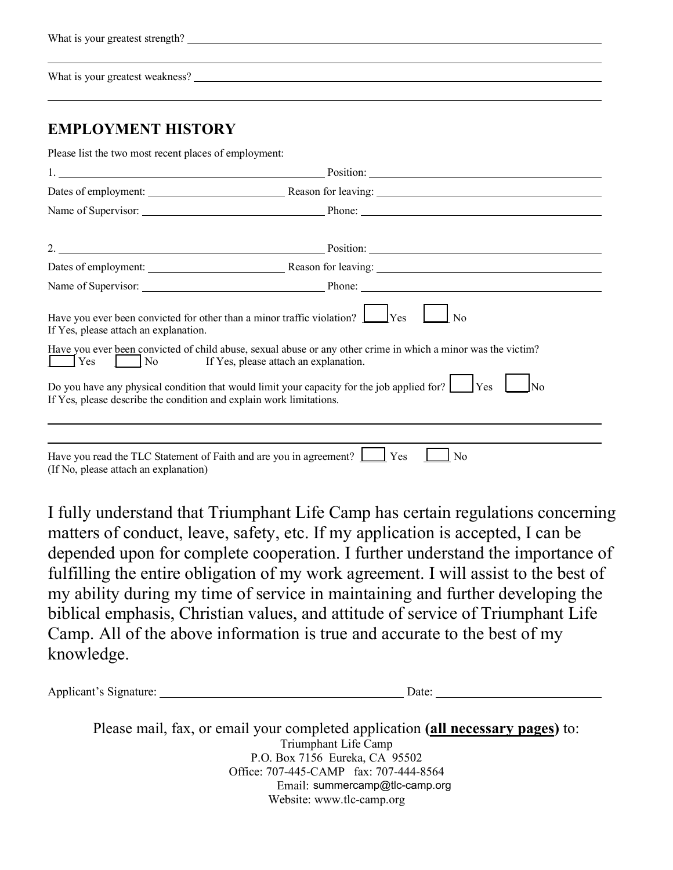| What is your greatest strength? |  |  |  |  |  |
|---------------------------------|--|--|--|--|--|
|---------------------------------|--|--|--|--|--|

What is your greatest weakness?

### **EMPLOYMENT HISTORY**

Please list the two most recent places of employment:

|                                                                     | Dates of employment: <u>Neason for leaving:</u> Neason for leaving:                                                                                                                                                            |
|---------------------------------------------------------------------|--------------------------------------------------------------------------------------------------------------------------------------------------------------------------------------------------------------------------------|
|                                                                     | Name of Supervisor: Phone: Phone: Phone: Phone: 2008.                                                                                                                                                                          |
|                                                                     |                                                                                                                                                                                                                                |
|                                                                     | 2. Position: Position: 2.                                                                                                                                                                                                      |
|                                                                     | Dates of employment: Reason for leaving: Reason for leaving:                                                                                                                                                                   |
|                                                                     | Name of Supervisor: Phone: Phone: Phone: Phone: Phone: Phone: Phone: Phone: Phone: Phone: Phone: Phone: Phone: Phone: Phone: Phone: Phone: Phone: Phone: Phone: Phone: Phone: Phone: Phone: Phone: Phone: Phone: Phone: Phone: |
| If Yes, please attach an explanation.                               | Have you ever been convicted for other than a minor traffic violation? $\Box$ Yes<br>N <sub>0</sub>                                                                                                                            |
| <b>Yes</b><br>$\vert$ No                                            | Have you ever been convicted of child abuse, sexual abuse or any other crime in which a minor was the victim?<br>If Yes, please attach an explanation.                                                                         |
| If Yes, please describe the condition and explain work limitations. | Do you have any physical condition that would limit your capacity for the job applied for? $\Box$ Yes<br><b>No</b>                                                                                                             |
|                                                                     |                                                                                                                                                                                                                                |
| (If No, please attach an explanation)                               | Have you read the TLC Statement of Faith and are you in agreement? <u>I</u> Yes<br>N <sub>0</sub>                                                                                                                              |

I fully understand that Triumphant Life Camp has certain regulations concerning matters of conduct, leave, safety, etc. If my application is accepted, I can be depended upon for complete cooperation. I further understand the importance of fulfilling the entire obligation of my work agreement. I will assist to the best of my ability during my time of service in maintaining and further developing the biblical emphasis, Christian values, and attitude of service of Triumphant Life Camp. All of the above information is true and accurate to the best of my knowledge.

Applicant's Signature: Date: Date:

Please mail, fax, or email your completed application **(all necessary pages)** to: Triumphant Life Camp P.O. Box 7156 Eureka, CA 95502 Office: 707-445-CAMP fax: 707-444-8564 Email: summercamp@tlc-camp.orgWebsite: www.tlc-camp.org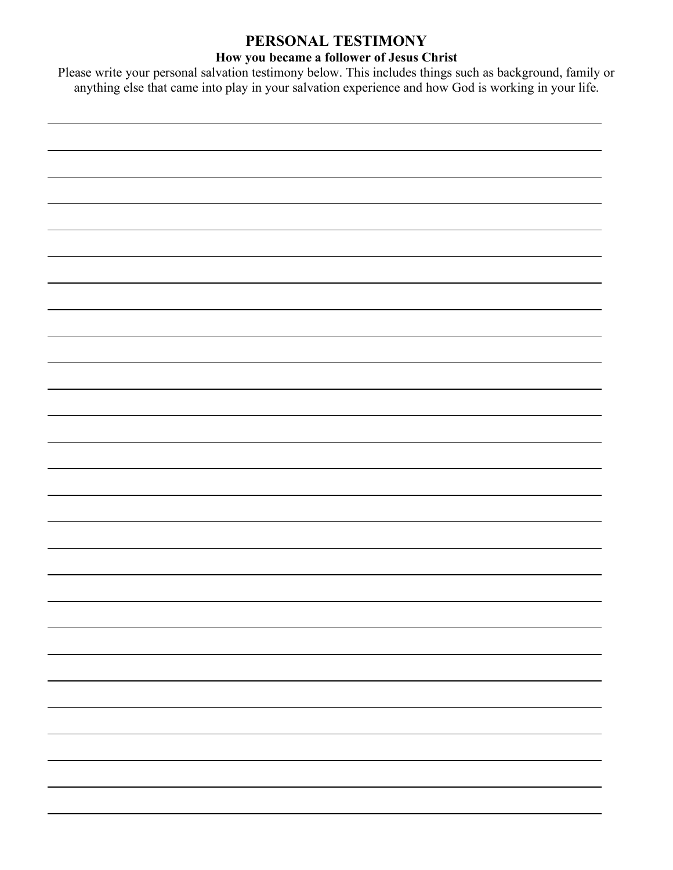## **PERSONAL TESTIMONY**

#### **How you became a follower of Jesus Christ**

Please write your personal salvation testimony below. This includes things such as background, family or anything else that came into play in your salvation experience and how God is working in your life.

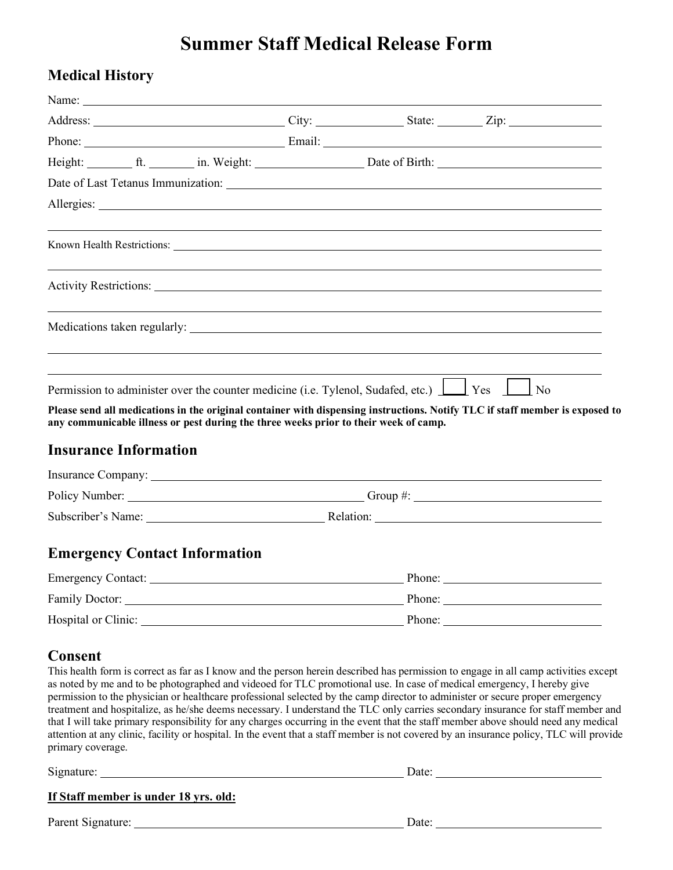# **Summer Staff Medical Release Form**

## **Medical History**

|                                                                                      |  |        | Permission to administer over the counter medicine (i.e. Tylenol, Sudafed, etc.) $\boxed{\phantom{a}}$ Yes $\phantom{a}$ No                                                                                                                                                                                                                                                                                                                                                                                                                                                                                                                                                                                                                                                                                         |
|--------------------------------------------------------------------------------------|--|--------|---------------------------------------------------------------------------------------------------------------------------------------------------------------------------------------------------------------------------------------------------------------------------------------------------------------------------------------------------------------------------------------------------------------------------------------------------------------------------------------------------------------------------------------------------------------------------------------------------------------------------------------------------------------------------------------------------------------------------------------------------------------------------------------------------------------------|
| any communicable illness or pest during the three weeks prior to their week of camp. |  |        | Please send all medications in the original container with dispensing instructions. Notify TLC if staff member is exposed to                                                                                                                                                                                                                                                                                                                                                                                                                                                                                                                                                                                                                                                                                        |
| <b>Insurance Information</b>                                                         |  |        |                                                                                                                                                                                                                                                                                                                                                                                                                                                                                                                                                                                                                                                                                                                                                                                                                     |
|                                                                                      |  |        | Insurance Company: <u>example</u> and the company of the contract of the contract of the contract of the contract of the contract of the contract of the contract of the contract of the contract of the contract of the contract o                                                                                                                                                                                                                                                                                                                                                                                                                                                                                                                                                                                 |
|                                                                                      |  |        |                                                                                                                                                                                                                                                                                                                                                                                                                                                                                                                                                                                                                                                                                                                                                                                                                     |
|                                                                                      |  |        |                                                                                                                                                                                                                                                                                                                                                                                                                                                                                                                                                                                                                                                                                                                                                                                                                     |
| <b>Emergency Contact Information</b>                                                 |  |        |                                                                                                                                                                                                                                                                                                                                                                                                                                                                                                                                                                                                                                                                                                                                                                                                                     |
| <b>Emergency Contact:</b>                                                            |  | Phone: |                                                                                                                                                                                                                                                                                                                                                                                                                                                                                                                                                                                                                                                                                                                                                                                                                     |
|                                                                                      |  |        |                                                                                                                                                                                                                                                                                                                                                                                                                                                                                                                                                                                                                                                                                                                                                                                                                     |
|                                                                                      |  |        |                                                                                                                                                                                                                                                                                                                                                                                                                                                                                                                                                                                                                                                                                                                                                                                                                     |
| <b>Consent</b><br>primary coverage.                                                  |  |        | This health form is correct as far as I know and the person herein described has permission to engage in all camp activities except<br>as noted by me and to be photographed and videoed for TLC promotional use. In case of medical emergency, I hereby give<br>permission to the physician or healthcare professional selected by the camp director to administer or secure proper emergency<br>treatment and hospitalize, as he/she deems necessary. I understand the TLC only carries secondary insurance for staff member and<br>that I will take primary responsibility for any charges occurring in the event that the staff member above should need any medical<br>attention at any clinic, facility or hospital. In the event that a staff member is not covered by an insurance policy, TLC will provide |
|                                                                                      |  |        |                                                                                                                                                                                                                                                                                                                                                                                                                                                                                                                                                                                                                                                                                                                                                                                                                     |
| If Staff member is under 18 yrs. old:                                                |  |        |                                                                                                                                                                                                                                                                                                                                                                                                                                                                                                                                                                                                                                                                                                                                                                                                                     |
|                                                                                      |  |        |                                                                                                                                                                                                                                                                                                                                                                                                                                                                                                                                                                                                                                                                                                                                                                                                                     |